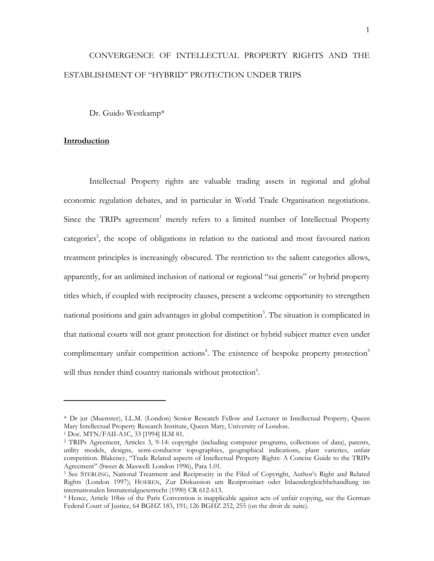# CONVERGENCE OF INTELLECTUAL PROPERTY RIGHTS AND THE ESTABLISHMENT OF "HYBRID" PROTECTION UNDER TRIPS

Dr. Guido Westkamp\*

# **Introduction**

Intellectual Property rights are valuable trading assets in regional and global economic regulation debates, and in particular in World Trade Organisation negotiations. Since the TRIPs agreement<sup>[1](#page-0-0)</sup> merely refers to a limited number of Intellectual Property categories<sup>[2](#page-0-1)</sup>, the scope of obligations in relation to the national and most favoured nation treatment principles is increasingly obscured. The restriction to the salient categories allows, apparently, for an unlimited inclusion of national or regional "sui generis" or hybrid property titles which, if coupled with reciprocity clauses, present a welcome opportunity to strengthen national positions and gain advantages in global competition<sup>3</sup>. The situation is complicated in that national courts will not grant protection for distinct or hybrid subject matter even under complimentary unfair competition actions<sup>4</sup>. The existence of bespoke property protection<sup>[5](#page-0-4)</sup> will thus render third country nationals without protection<sup>[6](#page-0-5)</sup>.

<span id="page-0-5"></span><span id="page-0-4"></span><span id="page-0-0"></span><sup>\*</sup> Dr jur (Muenster), LL.M. (London) Senior Research Fellow and Lecturer in Intellectual Property, Queen

<span id="page-0-1"></span>

<sup>&</sup>lt;sup>1</sup> Doc. MTN/FAII-A1C, 33 [1994] ILM 81.<br><sup>2</sup> TRIPs Agreement, Articles 3, 9-14: copyright (including computer programs, collections of data), patents, utility models, designs, semi-conductor topographies, geographical indications, plant varieties, unfair competition. Blakeney, "Trade Related aspects of Intellectual Property Rights: A Concise Guide to the TRIPs Agreement" (Sweet & Maxwell: London 1996), Para 1.01.<br><sup>3</sup> See STERLING, National Treatment and Reciprocity in the Filed of Copyright, Author's Right and Related

<span id="page-0-2"></span>Rights (London 1997); HOEREN, Zur Diskussion um Reziprozitaet oder Inlaendergleichbehandlung im internationalen Immaterialgueterrecht (1990) CR 612-613. 4 Hence, Article 10bis of the Paris Convention is inapplicable against acts of unfair copying, see the German

<span id="page-0-3"></span>Federal Court of Justice, 64 BGHZ 183, 191; 126 BGHZ 252, 255 (on the droit de suite).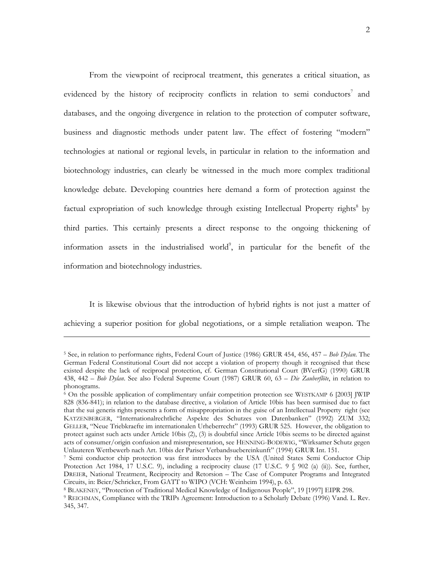From the viewpoint of reciprocal treatment, this generates a critical situation, as evidenced by the history of reciprocity conflicts in relation to semi conductors<sup>[7](#page-1-0)</sup> and databases, and the ongoing divergence in relation to the protection of computer software, business and diagnostic methods under patent law. The effect of fostering "modern" technologies at national or regional levels, in particular in relation to the information and biotechnology industries, can clearly be witnessed in the much more complex traditional knowledge debate. Developing countries here demand a form of protection against the factual expropriation of such knowledge through existing Intellectual Property rights<sup>8</sup> by third parties. This certainly presents a direct response to the ongoing thickening of information assets in the industrialised world $\degree$ , in particular for the benefit of the information and biotechnology industries.

It is likewise obvious that the introduction of hybrid rights is not just a matter of achieving a superior position for global negotiations, or a simple retaliation weapon. The

<sup>5</sup> See, in relation to performance rights, Federal Court of Justice (1986) GRUR 454, 456, 457 – *Bob Dylan*. The German Federal Constitutional Court did not accept a violation of property though it recognised that these existed despite the lack of reciprocal protection, cf. German Constitutional Court (BVerfG) (1990) GRUR 438, 442 *– Bob Dylan*. See also Federal Supreme Court (1987) GRUR 60, 63 – *Die Zauberflöte*, in relation to phonograms.

<sup>6</sup> On the possible application of complimentary unfair competition protection see WESTKAMP 6 [2003] JWIP 828 (836-841); in relation to the database directive, a violation of Article 10bis has been surmised due to fact that the sui generis rights presents a form of misappropriation in the guise of an Intellectual Property right (see KATZENBERGER, "Internationalrechtliche Aspekte des Schutzes von Datenbanken" (1992) ZUM 332; GELLER, "Neue Triebkraefte im internationalen Urheberrecht" (1993) GRUR 525. However, the obligation to protect against such acts under Article 10bis (2), (3) is doubtful since Article 10bis seems to be directed against acts of consumer/origin confusion and misrepresentation, see HENNING-BODEWIG, "Wirksamer Schutz gegen

<span id="page-1-0"></span><sup>&</sup>lt;sup>7</sup> Semi conductor chip protection was first introduces by the USA (United States Semi Conductor Chip Protection Act 1984, 17 U.S.C. 9), including a reciprocity clause (17 U.S.C. 9  $\Diamond$  902 (a) (ii)). See, further, DREIER, National Treatment, Reciprocity and Retorsion – The Case of Computer Programs and Integrated Circuits, in: Beier/Schricker, From GATT to WIPO (VCH: Weinheim 1994), p. 63.<br><sup>8</sup> BLAKENEY, "Protection of Traditional Medical Knowledge of Indigenous People", 19 [1997] EIPR 298.<br><sup>9</sup> REICHMAN, Compliance with the TRIPs Ag

<span id="page-1-1"></span>

<span id="page-1-2"></span><sup>345, 347.</sup>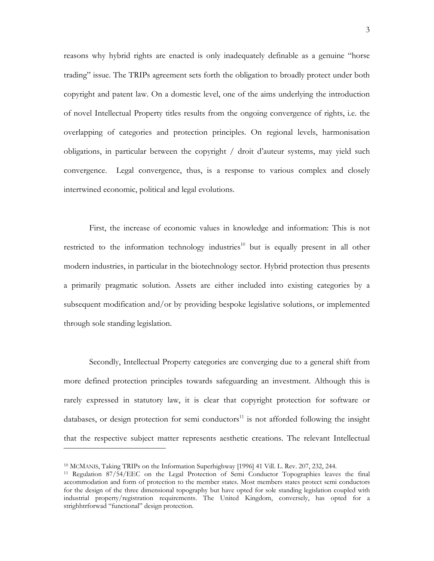reasons why hybrid rights are enacted is only inadequately definable as a genuine "horse trading" issue. The TRIPs agreement sets forth the obligation to broadly protect under both copyright and patent law. On a domestic level, one of the aims underlying the introduction of novel Intellectual Property titles results from the ongoing convergence of rights, i.e. the overlapping of categories and protection principles. On regional levels, harmonisation obligations, in particular between the copyright / droit d'auteur systems, may yield such convergence. Legal convergence, thus, is a response to various complex and closely intertwined economic, political and legal evolutions.

First, the increase of economic values in knowledge and information: This is not restricted to the information technology industries<sup>10</sup> but is equally present in all other modern industries, in particular in the biotechnology sector. Hybrid protection thus presents a primarily pragmatic solution. Assets are either included into existing categories by a subsequent modification and/or by providing bespoke legislative solutions, or implemented through sole standing legislation.

Secondly, Intellectual Property categories are converging due to a general shift from more defined protection principles towards safeguarding an investment. Although this is rarely expressed in statutory law, it is clear that copyright protection for software or databases, or design protection for semi conductors<sup>11</sup> is not afforded following the insight that the respective subject matter represents aesthetic creations. The relevant Intellectual

<span id="page-2-1"></span><span id="page-2-0"></span>

<sup>&</sup>lt;sup>10</sup> MCMANIS, Taking TRIPs on the Information Superhighway [1996] 41 Vill. L. Rev. 207, 232, 244.<br><sup>11</sup> Regulation 87/54/EEC on the Legal Protection of Semi Conductor Topographies leaves the final accommodation and form of protection to the member states. Most members states protect semi conductors for the design of the three dimensional topography but have opted for sole standing legislation coupled with industrial property/registration requirements. The United Kingdom, conversely, has opted for a strighhtrforwad "functional" design protection.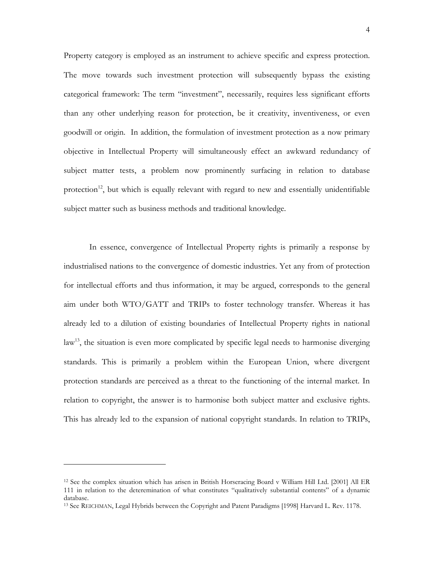Property category is employed as an instrument to achieve specific and express protection. The move towards such investment protection will subsequently bypass the existing categorical framework: The term "investment", necessarily, requires less significant efforts than any other underlying reason for protection, be it creativity, inventiveness, or even goodwill or origin. In addition, the formulation of investment protection as a now primary objective in Intellectual Property will simultaneously effect an awkward redundancy of subject matter tests, a problem now prominently surfacing in relation to database protection<sup>12</sup>, but which is equally relevant with regard to new and essentially unidentifiable subject matter such as business methods and traditional knowledge.

In essence, convergence of Intellectual Property rights is primarily a response by industrialised nations to the convergence of domestic industries. Yet any from of protection for intellectual efforts and thus information, it may be argued, corresponds to the general aim under both WTO/GATT and TRIPs to foster technology transfer. Whereas it has already led to a dilution of existing boundaries of Intellectual Property rights in national  $\text{law}^{13}$ , the situation is even more complicated by specific legal needs to harmonise diverging standards. This is primarily a problem within the European Union, where divergent protection standards are perceived as a threat to the functioning of the internal market. In relation to copyright, the answer is to harmonise both subject matter and exclusive rights. This has already led to the expansion of national copyright standards. In relation to TRIPs,

<span id="page-3-0"></span><sup>12</sup> See the complex situation which has arisen in British Horseracing Board v William Hill Ltd. [2001] All ER 111 in relation to the deteremination of what constitutes "qualitatively substantial contents" of a dynamic database.<br><sup>13</sup> See REICHMAN, Legal Hybrids between the Copyright and Patent Paradigms [1998] Harvard L. Rev. 1178.

<span id="page-3-1"></span>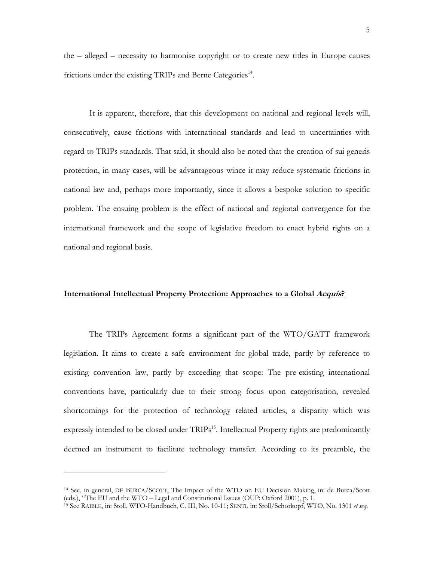the – alleged – necessity to harmonise copyright or to create new titles in Europe causes frictions under the existing TRIPs and Berne Categories<sup>14</sup>.

It is apparent, therefore, that this development on national and regional levels will, consecutively, cause frictions with international standards and lead to uncertainties with regard to TRIPs standards. That said, it should also be noted that the creation of sui generis protection, in many cases, will be advantageous wince it may reduce systematic frictions in national law and, perhaps more importantly, since it allows a bespoke solution to specific problem. The ensuing problem is the effect of national and regional convergence for the international framework and the scope of legislative freedom to enact hybrid rights on a national and regional basis.

# **International Intellectual Property Protection: Approaches to a Global Acquis?**

The TRIPs Agreement forms a significant part of the WTO/GATT framework legislation. It aims to create a safe environment for global trade, partly by reference to existing convention law, partly by exceeding that scope: The pre-existing international conventions have, particularly due to their strong focus upon categorisation, revealed shortcomings for the protection of technology related articles, a disparity which was expressly intended to be closed under  $TRIPs<sup>15</sup>$ . Intellectual Property rights are predominantly deemed an instrument to facilitate technology transfer. According to its preamble, the

<span id="page-4-0"></span><sup>14</sup> See, in general, DE BURCA/SCOTT, The Impact of the WTO on EU Decision Making, in: de Burca/Scott (eds.), "The EU and the WTO – Legal and Constitutional Issues (OUP: Oxford 2001), p. 1. 15 See RAIBLE, in: Stoll, WTO-Handbuch, C. III, No. 10-11; SENTI, in: Stoll/Schorkopf, WTO, No. 1301 *et seq*.

<span id="page-4-1"></span>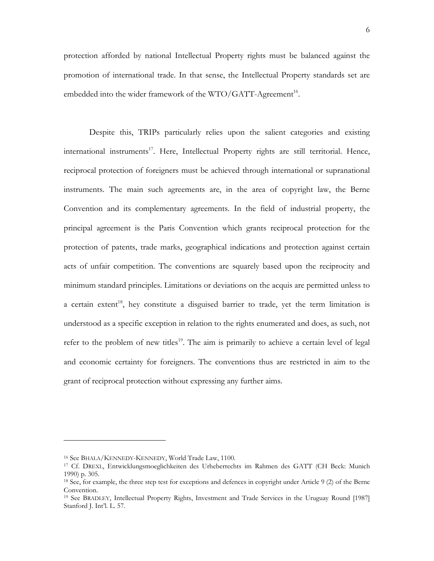protection afforded by national Intellectual Property rights must be balanced against the promotion of international trade. In that sense, the Intellectual Property standards set are embedded into the wider framework of the WTO/GATT-Agreement<sup>16</sup>.

Despite this, TRIPs particularly relies upon the salient categories and existing international instruments<sup>17</sup>. Here, Intellectual Property rights are still territorial. Hence, reciprocal protection of foreigners must be achieved through international or supranational instruments. The main such agreements are, in the area of copyright law, the Berne Convention and its complementary agreements. In the field of industrial property, the principal agreement is the Paris Convention which grants reciprocal protection for the protection of patents, trade marks, geographical indications and protection against certain acts of unfair competition. The conventions are squarely based upon the reciprocity and minimum standard principles. Limitations or deviations on the acquis are permitted unless to a certain extent<sup>18</sup>, hey constitute a disguised barrier to trade, yet the term limitation is understood as a specific exception in relation to the rights enumerated and does, as such, not refer to the problem of new titles<sup>19</sup>. The aim is primarily to achieve a certain level of legal and economic certainty for foreigners. The conventions thus are restricted in aim to the grant of reciprocal protection without expressing any further aims.

<span id="page-5-1"></span><span id="page-5-0"></span>

<sup>&</sup>lt;sup>16</sup> See BHALA/KENNEDY-KENNEDY, World Trade Law, 1100.<br><sup>17</sup> Cf. DREXL, Entwicklungsmoeglichkeiten des Urheberrechts im Rahmen des GATT (CH Beck: Munich 1990) p. 305.

<span id="page-5-2"></span><sup>18</sup> See, for example, the three step test for exceptions and defences in copyright under Article 9 (2) of the Berne Convention.

<span id="page-5-3"></span><sup>19</sup> See BRADLEY, Intellectual Property Rights, Investment and Trade Services in the Uruguay Round [1987] Stanford J. Int'l. L. 57.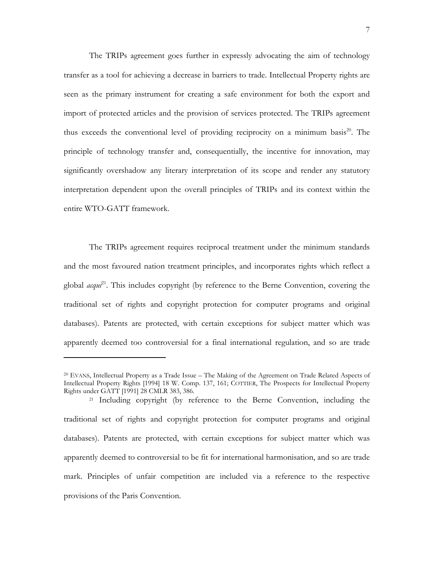The TRIPs agreement goes further in expressly advocating the aim of technology transfer as a tool for achieving a decrease in barriers to trade. Intellectual Property rights are seen as the primary instrument for creating a safe environment for both the export and import of protected articles and the provision of services protected. The TRIPs agreement thus exceeds the conventional level of providing reciprocity on a minimum basis<sup>20</sup>. The principle of technology transfer and, consequentially, the incentive for innovation, may significantly overshadow any literary interpretation of its scope and render any statutory interpretation dependent upon the overall principles of TRIPs and its context within the entire WTO-GATT framework.

The TRIPs agreement requires reciprocal treatment under the minimum standards and the most favoured nation treatment principles, and incorporates rights which reflect a global *acqui*<sup>21</sup>. This includes copyright (by reference to the Berne Convention, covering the traditional set of rights and copyright protection for computer programs and original databases). Patents are protected, with certain exceptions for subject matter which was apparently deemed too controversial for a final international regulation, and so are trade

-

<span id="page-6-1"></span>21 Including copyright (by reference to the Berne Convention, including the traditional set of rights and copyright protection for computer programs and original databases). Patents are protected, with certain exceptions for subject matter which was apparently deemed to controversial to be fit for international harmonisation, and so are trade mark. Principles of unfair competition are included via a reference to the respective provisions of the Paris Convention.

<span id="page-6-0"></span><sup>20</sup> EVANS, Intellectual Property as a Trade Issue – The Making of the Agreement on Trade Related Aspects of Intellectual Property Rights [1994] 18 W. Comp. 137, 161; COTTIER, The Prospects for Intellectual Property Rights under GATT [1991] 28 CMLR 383, 386.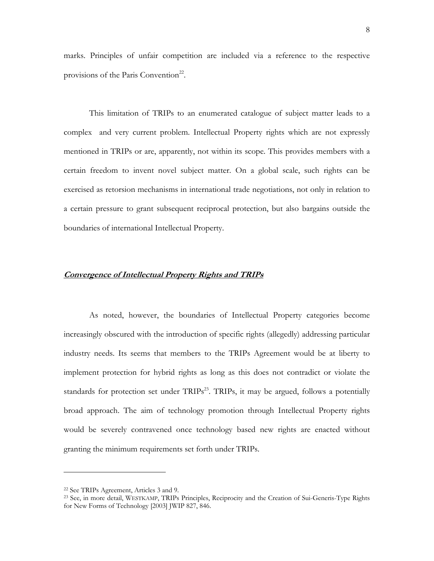marks. Principles of unfair competition are included via a reference to the respective provisions of the Paris Convention<sup>22</sup>.

This limitation of TRIPs to an enumerated catalogue of subject matter leads to a complex and very current problem. Intellectual Property rights which are not expressly mentioned in TRIPs or are, apparently, not within its scope. This provides members with a certain freedom to invent novel subject matter. On a global scale, such rights can be exercised as retorsion mechanisms in international trade negotiations, not only in relation to a certain pressure to grant subsequent reciprocal protection, but also bargains outside the boundaries of international Intellectual Property.

### **Convergence of Intellectual Property Rights and TRIPs**

As noted, however, the boundaries of Intellectual Property categories become increasingly obscured with the introduction of specific rights (allegedly) addressing particular industry needs. Its seems that members to the TRIPs Agreement would be at liberty to implement protection for hybrid rights as long as this does not contradict or violate the standards for protection set under TRIPs<sup>23</sup>. TRIPs, it may be argued, follows a potentially broad approach. The aim of technology promotion through Intellectual Property rights would be severely contravened once technology based new rights are enacted without granting the minimum requirements set forth under TRIPs.

<span id="page-7-1"></span><span id="page-7-0"></span>

<sup>&</sup>lt;sup>22</sup> See TRIPs Agreement, Articles 3 and 9.<br><sup>23</sup> See, in more detail, WESTKAMP, TRIPs Principles, Reciprocity and the Creation of Sui-Generis-Type Rights for New Forms of Technology [2003] JWIP 827, 846.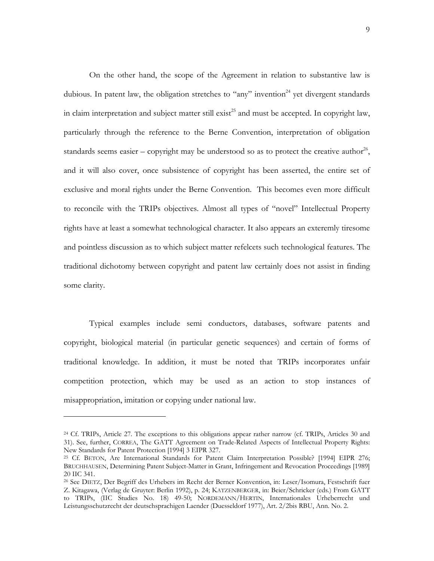On the other hand, the scope of the Agreement in relation to substantive law is dubious. In patent law, the obligation stretches to "any" invention<sup>24</sup> yet divergent standards in claim interpretation and subject matter still exist<sup>25</sup> and must be accepted. In copyright law, particularly through the reference to the Berne Convention, interpretation of obligation standards seems easier – copyright may be understood so as to protect the creative author<sup>26</sup>, and it will also cover, once subsistence of copyright has been asserted, the entire set of exclusive and moral rights under the Berne Convention. This becomes even more difficult to reconcile with the TRIPs objectives. Almost all types of "novel" Intellectual Property rights have at least a somewhat technological character. It also appears an exteremly tiresome and pointless discussion as to which subject matter refelcets such technological features. The traditional dichotomy between copyright and patent law certainly does not assist in finding some clarity.

Typical examples include semi conductors, databases, software patents and copyright, biological material (in particular genetic sequences) and certain of forms of traditional knowledge. In addition, it must be noted that TRIPs incorporates unfair competition protection, which may be used as an action to stop instances of misappropriation, imitation or copying under national law.

<span id="page-8-0"></span><sup>24</sup> Cf. TRIPs, Article 27. The exceptions to this obligations appear rather narrow (cf. TRIPs, Articles 30 and 31). See, further, CORREA, The GATT Agreement on Trade-Related Aspects of Intellectual Property Rights:

<span id="page-8-1"></span><sup>&</sup>lt;sup>25</sup> Cf. BETON, Are International Standards for Patent Claim Interpretation Possible? [1994] EIPR 276; BRUCHHAUSEN, Determining Patent Subject-Matter in Grant, Infringement and Revocation Proceedings [1989] 20 IIC 341.

<span id="page-8-2"></span><sup>26</sup> See DIETZ, Der Begriff des Urhebers im Recht der Berner Konvention, in: Leser/Isomura, Festschrift fuer Z. Kitagawa, (Verlag de Gruyter: Berlin 1992), p. 24; KATZENBERGER, in: Beier/Schricker (eds.) From GATT to TRIPs, (IIC Studies No. 18) 49-50; NORDEMANN/HERTIN, Internationales Urheberrecht und Leistungsschutzrecht der deutschsprachigen Laender (Duesseldorf 1977), Art. 2/2bis RBU, Ann. No. 2.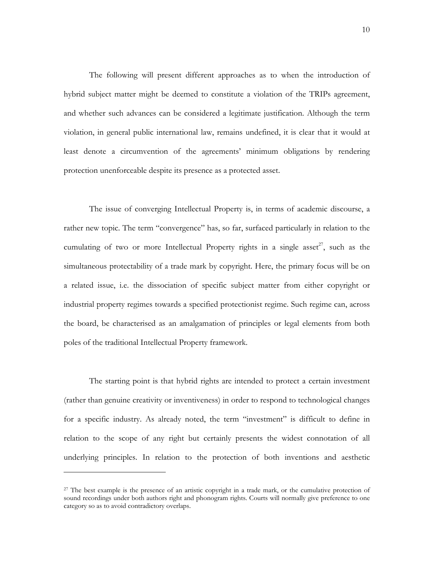The following will present different approaches as to when the introduction of hybrid subject matter might be deemed to constitute a violation of the TRIPs agreement, and whether such advances can be considered a legitimate justification. Although the term violation, in general public international law, remains undefined, it is clear that it would at least denote a circumvention of the agreements' minimum obligations by rendering protection unenforceable despite its presence as a protected asset.

The issue of converging Intellectual Property is, in terms of academic discourse, a rather new topic. The term "convergence" has, so far, surfaced particularly in relation to the cumulating of two or more Intellectual Property rights in a single asset<sup>27</sup>, such as the simultaneous protectability of a trade mark by copyright. Here, the primary focus will be on a related issue, i.e. the dissociation of specific subject matter from either copyright or industrial property regimes towards a specified protectionist regime. Such regime can, across the board, be characterised as an amalgamation of principles or legal elements from both poles of the traditional Intellectual Property framework.

The starting point is that hybrid rights are intended to protect a certain investment (rather than genuine creativity or inventiveness) in order to respond to technological changes for a specific industry. As already noted, the term "investment" is difficult to define in relation to the scope of any right but certainly presents the widest connotation of all underlying principles. In relation to the protection of both inventions and aesthetic

<span id="page-9-0"></span><sup>&</sup>lt;sup>27</sup> The best example is the presence of an artistic copyright in a trade mark, or the cumulative protection of sound recordings under both authors right and phonogram rights. Courts will normally give preference to one category so as to avoid contradictory overlaps.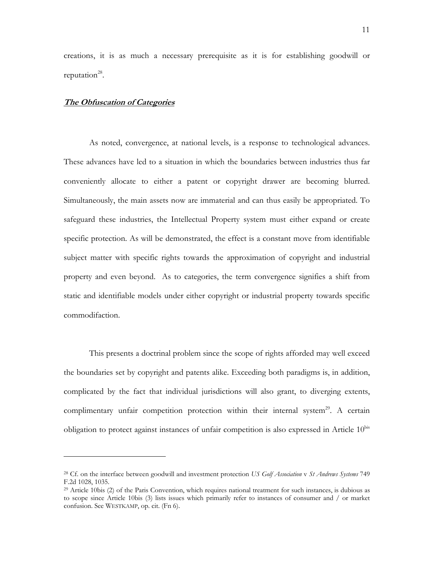creations, it is as much a necessary prerequisite as it is for establishing goodwill or reputation $^{28}$ .

# **The Obfuscation of Categories**

-

As noted, convergence, at national levels, is a response to technological advances. These advances have led to a situation in which the boundaries between industries thus far conveniently allocate to either a patent or copyright drawer are becoming blurred. Simultaneously, the main assets now are immaterial and can thus easily be appropriated. To safeguard these industries, the Intellectual Property system must either expand or create specific protection. As will be demonstrated, the effect is a constant move from identifiable subject matter with specific rights towards the approximation of copyright and industrial property and even beyond. As to categories, the term convergence signifies a shift from static and identifiable models under either copyright or industrial property towards specific commodifaction.

This presents a doctrinal problem since the scope of rights afforded may well exceed the boundaries set by copyright and patents alike. Exceeding both paradigms is, in addition, complicated by the fact that individual jurisdictions will also grant, to diverging extents, complimentary unfair competition protection within their internal system<sup>29</sup>. A certain obligation to protect against instances of unfair competition is also expressed in Article  $10<sup>bis</sup>$ 

<span id="page-10-0"></span><sup>28</sup> Cf. on the interface between goodwill and investment protection *US Golf Association* v *St Andrews Systems* 749 F.2d 1028, 1035. 29 Article 10bis (2) of the Paris Convention, which requires national treatment for such instances, is dubious as

<span id="page-10-1"></span>to scope since Article 10bis (3) lists issues which primarily refer to instances of consumer and / or market confusion. See WESTKAMP, op. cit. (Fn 6).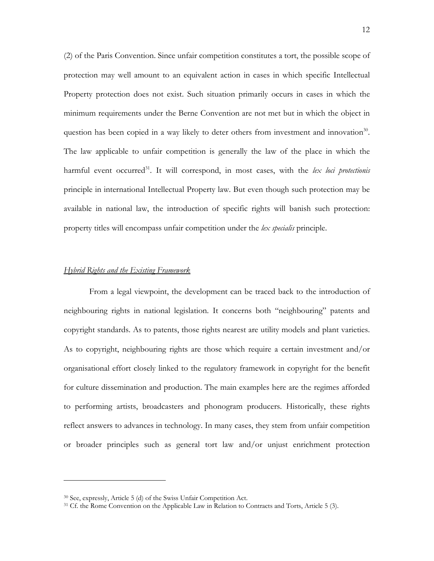(2) of the Paris Convention. Since unfair competition constitutes a tort, the possible scope of protection may well amount to an equivalent action in cases in which specific Intellectual Property protection does not exist. Such situation primarily occurs in cases in which the minimum requirements under the Berne Convention are not met but in which the object in question has been copied in a way likely to deter others from investment and innovation<sup>30</sup>. The law applicable to unfair competition is generally the law of the place in which the harmful event occurred<sup>31</sup>. It will correspond, in most cases, with the *lex loci protectionis* principle in international Intellectual Property law. But even though such protection may be available in national law, the introduction of specific rights will banish such protection: property titles will encompass unfair competition under the *lex specialis* principle.

### *Hybrid Rights and the Existing Framework*

From a legal viewpoint, the development can be traced back to the introduction of neighbouring rights in national legislation. It concerns both "neighbouring" patents and copyright standards. As to patents, those rights nearest are utility models and plant varieties. As to copyright, neighbouring rights are those which require a certain investment and/or organisational effort closely linked to the regulatory framework in copyright for the benefit for culture dissemination and production. The main examples here are the regimes afforded to performing artists, broadcasters and phonogram producers. Historically, these rights reflect answers to advances in technology. In many cases, they stem from unfair competition or broader principles such as general tort law and/or unjust enrichment protection

<span id="page-11-0"></span><sup>30</sup> See, expressly, Article 5 (d) of the Swiss Unfair Competition Act.

<span id="page-11-1"></span><sup>&</sup>lt;sup>31</sup> Cf. the Rome Convention on the Applicable Law in Relation to Contracts and Torts, Article 5 (3).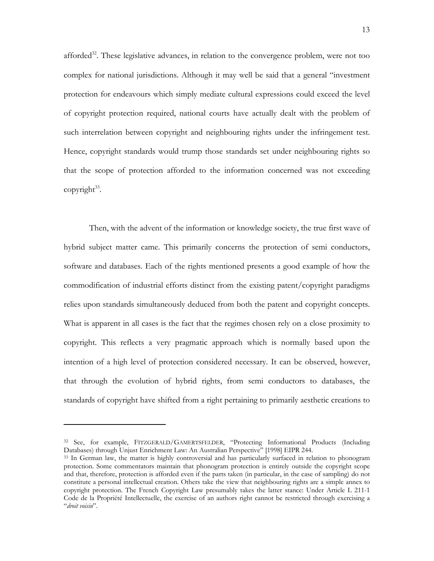afforded $32$ . These legislative advances, in relation to the convergence problem, were not too complex for national jurisdictions. Although it may well be said that a general "investment protection for endeavours which simply mediate cultural expressions could exceed the level of copyright protection required, national courts have actually dealt with the problem of such interrelation between copyright and neighbouring rights under the infringement test. Hence, copyright standards would trump those standards set under neighbouring rights so that the scope of protection afforded to the information concerned was not exceeding copyright $33$ .

Then, with the advent of the information or knowledge society, the true first wave of hybrid subject matter came. This primarily concerns the protection of semi conductors, software and databases. Each of the rights mentioned presents a good example of how the commodification of industrial efforts distinct from the existing patent/copyright paradigms relies upon standards simultaneously deduced from both the patent and copyright concepts. What is apparent in all cases is the fact that the regimes chosen rely on a close proximity to copyright. This reflects a very pragmatic approach which is normally based upon the intention of a high level of protection considered necessary. It can be observed, however, that through the evolution of hybrid rights, from semi conductors to databases, the standards of copyright have shifted from a right pertaining to primarily aesthetic creations to

<span id="page-12-0"></span><sup>&</sup>lt;sup>32</sup> See, for example, FITZGERALD/GAMERTSFELDER, "Protecting Informational Products (Including Databases) through Unjust Enrichment Law: An Australian Perspective" [1998] EIPR 244.

<span id="page-12-1"></span><sup>&</sup>lt;sup>33</sup> In German law, the matter is highly controversial and has particularly surfaced in relation to phonogram protection. Some commentators maintain that phonogram protection is entirely outside the copyright scope and that, therefore, protection is afforded even if the parts taken (in particular, in the case of sampling) do not constitute a personal intellectual creation. Others take the view that neighbouring rights are a simple annex to copyright protection. The French Copyright Law presumably takes the latter stance: Under Article L 211-1 Code de la Propriété Intellectuelle, the exercise of an authors right cannot be restricted through exercising a "*droit voisin*".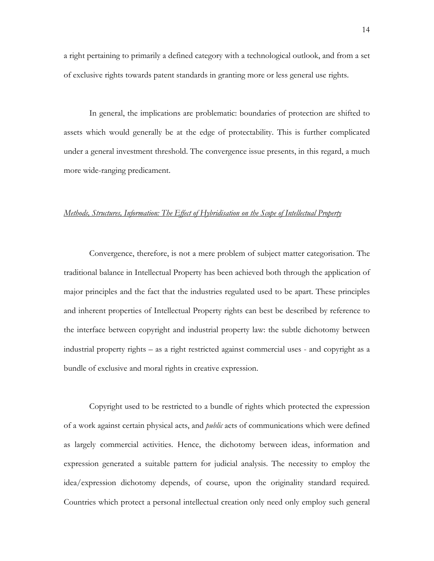a right pertaining to primarily a defined category with a technological outlook, and from a set of exclusive rights towards patent standards in granting more or less general use rights.

In general, the implications are problematic: boundaries of protection are shifted to assets which would generally be at the edge of protectability. This is further complicated under a general investment threshold. The convergence issue presents, in this regard, a much more wide-ranging predicament.

### *Methods, Structures, Information: The Effect of Hybridisation on the Scope of Intellectual Property*

Convergence, therefore, is not a mere problem of subject matter categorisation. The traditional balance in Intellectual Property has been achieved both through the application of major principles and the fact that the industries regulated used to be apart. These principles and inherent properties of Intellectual Property rights can best be described by reference to the interface between copyright and industrial property law: the subtle dichotomy between industrial property rights – as a right restricted against commercial uses - and copyright as a bundle of exclusive and moral rights in creative expression.

Copyright used to be restricted to a bundle of rights which protected the expression of a work against certain physical acts, and *public* acts of communications which were defined as largely commercial activities. Hence, the dichotomy between ideas, information and expression generated a suitable pattern for judicial analysis. The necessity to employ the idea/expression dichotomy depends, of course, upon the originality standard required. Countries which protect a personal intellectual creation only need only employ such general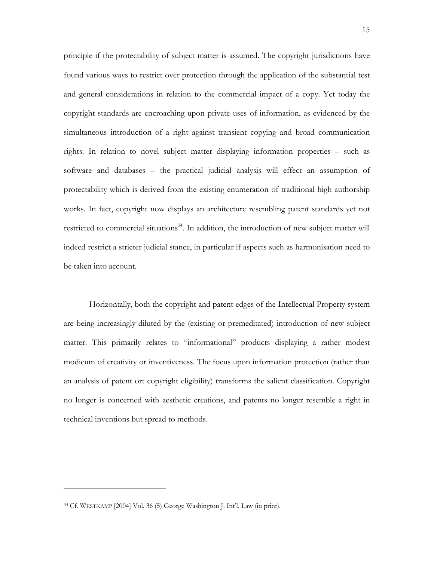principle if the protectability of subject matter is assumed. The copyright jurisdictions have found various ways to restrict over protection through the application of the substantial test and general considerations in relation to the commercial impact of a copy. Yet today the copyright standards are encroaching upon private uses of information, as evidenced by the simultaneous introduction of a right against transient copying and broad communication rights. In relation to novel subject matter displaying information properties – such as software and databases – the practical judicial analysis will effect an assumption of protectability which is derived from the existing enumeration of traditional high authorship works. In fact, copyright now displays an architecture resembling patent standards yet not restricted to commercial situations<sup>34</sup>. In addition, the introduction of new subject matter will indeed restrict a stricter judicial stance, in particular if aspects such as harmonisation need to be taken into account.

Horizontally, both the copyright and patent edges of the Intellectual Property system are being increasingly diluted by the (existing or premeditated) introduction of new subject matter. This primarily relates to "informational" products displaying a rather modest modicum of creativity or inventiveness. The focus upon information protection (rather than an analysis of patent ort copyright eligibility) transforms the salient classification. Copyright no longer is concerned with aesthetic creations, and patents no longer resemble a right in technical inventions but spread to methods.

<span id="page-14-0"></span><sup>34</sup> Cf. WESTKAMP [2004] Vol. 36 (5) George Washington J. Int'l. Law (in print).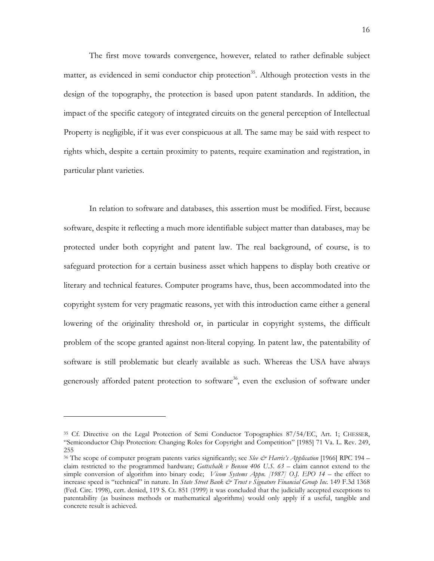The first move towards convergence, however, related to rather definable subject matter, as evidenced in semi conductor chip protection<sup>35</sup>. Although protection vests in the design of the topography, the protection is based upon patent standards. In addition, the impact of the specific category of integrated circuits on the general perception of Intellectual Property is negligible, if it was ever conspicuous at all. The same may be said with respect to rights which, despite a certain proximity to patents, require examination and registration, in particular plant varieties.

In relation to software and databases, this assertion must be modified. First, because software, despite it reflecting a much more identifiable subject matter than databases, may be protected under both copyright and patent law. The real background, of course, is to safeguard protection for a certain business asset which happens to display both creative or literary and technical features. Computer programs have, thus, been accommodated into the copyright system for very pragmatic reasons, yet with this introduction came either a general lowering of the originality threshold or, in particular in copyright systems, the difficult problem of the scope granted against non-literal copying. In patent law, the patentability of software is still problematic but clearly available as such. Whereas the USA have always generously afforded patent protection to software<sup>36</sup>, even the exclusion of software under

<span id="page-15-0"></span><sup>35</sup> Cf. Directive on the Legal Protection of Semi Conductor Topographies 87/54/EC, Art. 1; CHESSER, "Semiconductor Chip Protection: Changing Roles for Copyright and Competition" [1985] 71 Va. L. Rev. 249, 255

<span id="page-15-1"></span><sup>36</sup> The scope of computer program patents varies significantly; see *Slee & Harris's Application* [1966] RPC 194 – claim restricted to the programmed hardware; *Gottschalk v Benson 406 U.S. 63* – claim cannot extend to the simple conversion of algorithm into binary code; *Vicom Systems Appn. [1987] O.J. EPO 14 –* the effect to increase speed is "technical" in nature. In *State Street Bank & Trust v Signature Financial Group Inc.* 149 F.3d 1368 (Fed. Circ. 1998), cert. denied, 119 S. Ct. 851 (1999) it was concluded that the judicially accepted exceptions to patentability (as business methods or mathematical algorithms) would only apply if a useful, tangible and concrete result is achieved.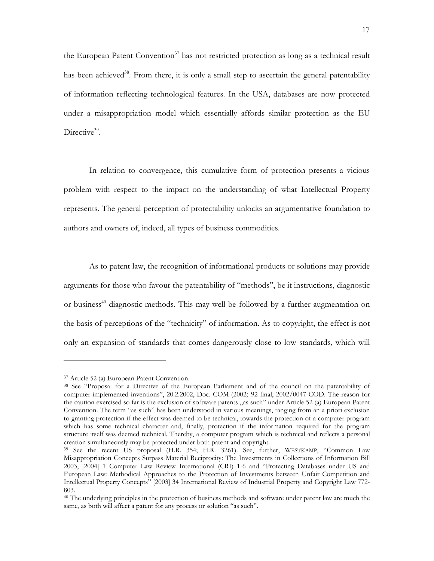the European Patent Convention<sup>37</sup> has not restricted protection as long as a technical result has been achieved<sup>38</sup>. From there, it is only a small step to ascertain the general patentability of information reflecting technological features. In the USA, databases are now protected under a misappropriation model which essentially affords similar protection as the EU Directive<sup>39</sup>.

In relation to convergence, this cumulative form of protection presents a vicious problem with respect to the impact on the understanding of what Intellectual Property represents. The general perception of protectability unlocks an argumentative foundation to authors and owners of, indeed, all types of business commodities.

As to patent law, the recognition of informational products or solutions may provide arguments for those who favour the patentability of "methods", be it instructions, diagnostic or business<sup>40</sup> diagnostic methods. This may well be followed by a further augmentation on the basis of perceptions of the "technicity" of information. As to copyright, the effect is not only an expansion of standards that comes dangerously close to low standards, which will

<span id="page-16-1"></span><span id="page-16-0"></span>

<sup>&</sup>lt;sup>37</sup> Article 52 (a) European Patent Convention.<br><sup>38</sup> See "Proposal for a Directive of the European Parliament and of the council on the patentability of computer implemented inventions", 20.2.2002, Doc. COM (2002) 92 final, 2002/0047 COD. The reason for the caution exercised so far is the exclusion of software patents "as such" under Article 52 (a) European Patent Convention. The term "as such" has been understood in various meanings, ranging from an a priori exclusion to granting protection if the effect was deemed to be technical, towards the protection of a computer program which has some technical character and, finally, protection if the information required for the program structure itself was deemed technical. Thereby, a computer program which is technical and reflects a personal creation simultaneously may be protected under both patent and copyright.

<span id="page-16-2"></span><sup>&</sup>lt;sup>39</sup> See the recent US proposal (H.R. 354; H.R. 3261). See, further, WESTKAMP, "Common Law Misappropriation Concepts Surpass Material Reciprocity: The Investments in Collections of Information Bill 2003, [2004] 1 Computer Law Review International (CRI) 1-6 and "Protecting Databases under US and European Law: Methodical Approaches to the Protection of Investments between Unfair Competition and Intellectual Property Concepts" [2003] 34 International Review of Industrial Property and Copyright Law 772- 803.

<span id="page-16-3"></span><sup>40</sup> The underlying principles in the protection of business methods and software under patent law are much the same, as both will affect a patent for any process or solution "as such".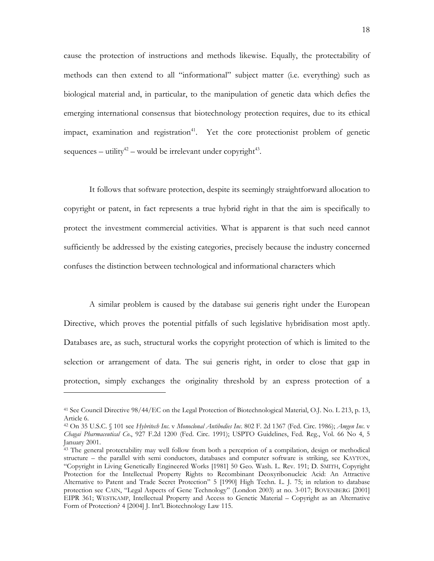cause the protection of instructions and methods likewise. Equally, the protectability of methods can then extend to all "informational" subject matter (i.e. everything) such as biological material and, in particular, to the manipulation of genetic data which defies the emerging international consensus that biotechnology protection requires, due to its ethical impact, examination and registration<sup>41</sup>. Yet the core protectionist problem of genetic sequences – utility<sup>42</sup> – would be irrelevant under copyright<sup>43</sup>.

It follows that software protection, despite its seemingly straightforward allocation to copyright or patent, in fact represents a true hybrid right in that the aim is specifically to protect the investment commercial activities. What is apparent is that such need cannot sufficiently be addressed by the existing categories, precisely because the industry concerned confuses the distinction between technological and informational characters which

A similar problem is caused by the database sui generis right under the European Directive, which proves the potential pitfalls of such legislative hybridisation most aptly. Databases are, as such, structural works the copyright protection of which is limited to the selection or arrangement of data. The sui generis right, in order to close that gap in protection, simply exchanges the originality threshold by an express protection of a

<span id="page-17-0"></span><sup>41</sup> See Council Directive 98/44/EC on the Legal Protection of Biotechnological Material, O.J. No. L 213, p. 13, Article 6.

<span id="page-17-1"></span><sup>42</sup> On 35 U.S.C. § 101 see *Hybritech Inc*. v *Monoclonal Antibodies Inc*. 802 F. 2d 1367 (Fed. Circ. 1986); *Amgen Inc*. v *Chagai Pharmaceutical Co*., 927 F.2d 1200 (Fed. Circ. 1991); USPTO Guidelines, Fed. Reg., Vol. 66 No 4, 5 January 2001.

<span id="page-17-2"></span><sup>&</sup>lt;sup>43</sup> The general protectability may well follow from both a perception of a compilation, design or methodical structure – the parallel with semi conductors, databases and computer software is striking, see KAYTON, "Copyright in Living Genetically Engineered Works [1981] 50 Geo. Wash. L. Rev. 191; D. SMITH, Copyright Protection for the Intellectual Property Rights to Recombinant Deoxyribonucleic Acid: An Attractive Alternative to Patent and Trade Secret Protection" 5 [1990] High Techn. L. J. 75; in relation to database protection see CAIN, "Legal Aspects of Gene Technology" (London 2003) at no. 3-017; BOVENBERG [2001] EIPR 361; WESTKAMP, Intellectual Property and Access to Genetic Material – Copyright as an Alternative Form of Protection? 4 [2004] J. Int'l. Biotechnology Law 115.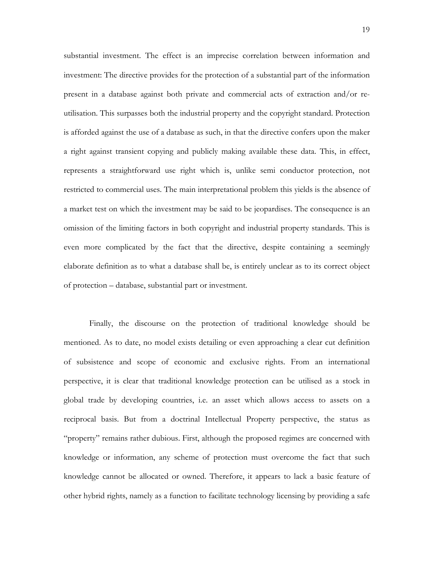substantial investment. The effect is an imprecise correlation between information and investment: The directive provides for the protection of a substantial part of the information present in a database against both private and commercial acts of extraction and/or reutilisation. This surpasses both the industrial property and the copyright standard. Protection is afforded against the use of a database as such, in that the directive confers upon the maker a right against transient copying and publicly making available these data. This, in effect, represents a straightforward use right which is, unlike semi conductor protection, not restricted to commercial uses. The main interpretational problem this yields is the absence of a market test on which the investment may be said to be jeopardises. The consequence is an omission of the limiting factors in both copyright and industrial property standards. This is even more complicated by the fact that the directive, despite containing a seemingly elaborate definition as to what a database shall be, is entirely unclear as to its correct object of protection – database, substantial part or investment.

Finally, the discourse on the protection of traditional knowledge should be mentioned. As to date, no model exists detailing or even approaching a clear cut definition of subsistence and scope of economic and exclusive rights. From an international perspective, it is clear that traditional knowledge protection can be utilised as a stock in global trade by developing countries, i.e. an asset which allows access to assets on a reciprocal basis. But from a doctrinal Intellectual Property perspective, the status as "property" remains rather dubious. First, although the proposed regimes are concerned with knowledge or information, any scheme of protection must overcome the fact that such knowledge cannot be allocated or owned. Therefore, it appears to lack a basic feature of other hybrid rights, namely as a function to facilitate technology licensing by providing a safe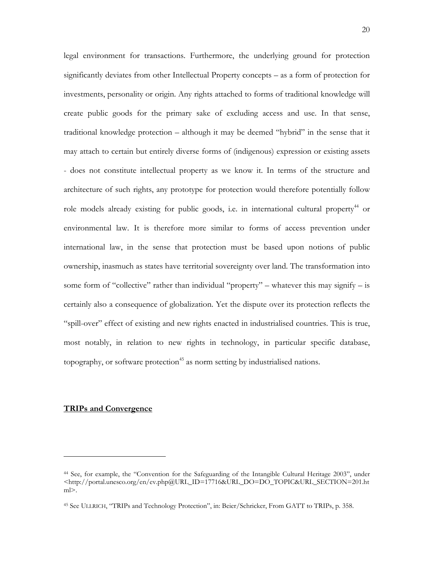legal environment for transactions. Furthermore, the underlying ground for protection significantly deviates from other Intellectual Property concepts – as a form of protection for investments, personality or origin. Any rights attached to forms of traditional knowledge will create public goods for the primary sake of excluding access and use. In that sense, traditional knowledge protection – although it may be deemed "hybrid" in the sense that it may attach to certain but entirely diverse forms of (indigenous) expression or existing assets - does not constitute intellectual property as we know it. In terms of the structure and architecture of such rights, any prototype for protection would therefore potentially follow role models already existing for public goods, i.e. in international cultural property<sup>44</sup> or environmental law. It is therefore more similar to forms of access prevention under international law, in the sense that protection must be based upon notions of public ownership, inasmuch as states have territorial sovereignty over land. The transformation into some form of "collective" rather than individual "property" – whatever this may signify – is certainly also a consequence of globalization. Yet the dispute over its protection reflects the "spill-over" effect of existing and new rights enacted in industrialised countries. This is true, most notably, in relation to new rights in technology, in particular specific database, topography, or software protection<sup>45</sup> as norm setting by industrialised nations.

# **TRIPs and Convergence**

<sup>44</sup> See, for example, the ["Convention for the Safeguarding of the Intangible Cultural Heritage 2003", under](http://portal.unesco.org/culture/en/ev.php@URL_ID=15782&URL_DO=DO_TOPIC&URL_SECTION=201.html)  <[http://portal.unesco.org/en/ev.php@URL\\_ID=17716&URL\\_DO=DO\\_TOPIC&URL\\_SECTION=201.ht](http://portal.unesco.org/en/ev.php@URL_ID=17716&URL_DO=DO_TOPIC&URL_SECTION=201.html)  $ml$  $>$ .

<span id="page-19-0"></span><sup>45</sup> See ULLRICH, "TRIPs and Technology Protection", in: Beier/Schricker, From GATT to TRIPs, p. 358.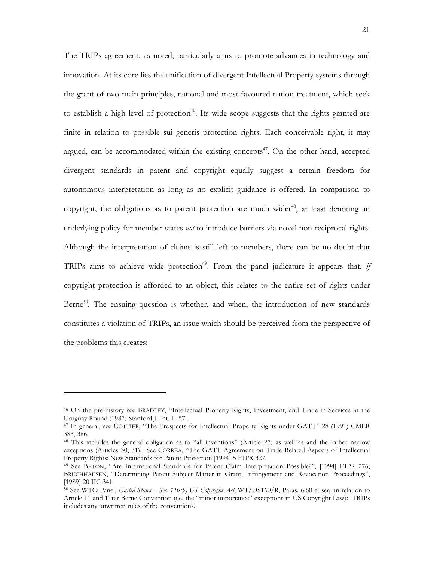The TRIPs agreement, as noted, particularly aims to promote advances in technology and innovation. At its core lies the unification of divergent Intellectual Property systems through the grant of two main principles, national and most-favoured-nation treatment, which seek to establish a high level of protection<sup>46</sup>. Its wide scope suggests that the rights granted are finite in relation to possible sui generis protection rights. Each conceivable right, it may argued, can be accommodated within the existing concepts $47$ . On the other hand, accepted divergent standards in patent and copyright equally suggest a certain freedom for autonomous interpretation as long as no explicit guidance is offered. In comparison to copyright, the obligations as to patent protection are much wider<sup>48</sup>, at least denoting an underlying policy for member states *not* to introduce barriers via novel non-reciprocal rights. Although the interpretation of claims is still left to members, there can be no doubt that TRIPs aims to achieve wide protection<sup>49</sup>. From the panel judicature it appears that, *if* copyright protection is afforded to an object, this relates to the entire set of rights under Berne<sup>50</sup>, The ensuing question is whether, and when, the introduction of new standards constitutes a violation of TRIPs, an issue which should be perceived from the perspective of the problems this creates:

<span id="page-20-0"></span><sup>&</sup>lt;sup>46</sup> On the pre-history see BRADLEY, "Intellectual Property Rights, Investment, and Trade in Services in the Uruguay Round (1987) Stanford J. Int. L. 57.

<span id="page-20-1"></span><sup>&</sup>lt;sup>47</sup> In general, see COTTIER, "The Prospects for Intellectual Property Rights under GATT" 28 (1991) CMLR 383, 386.

<span id="page-20-2"></span><sup>48</sup> This includes the general obligation as to "all inventions" (Article 27) as well as and the rather narrow exceptions (Articles 30, 31). See CORREA, "The GATT Agreement on Trade Related Aspects of Intellectual Property Rights: New Standards for Patent Protection [1994] 5 EIPR 327.<br><sup>49</sup> See BETON, "Are International Standards for Patent Claim Interpretation Possible?", [1994] EIPR 276;

<span id="page-20-3"></span>BRUCHHAUSEN, "Determining Patent Subject Matter in Grant, Infringement and Revocation Proceedings", [1989] 20 IIC 341.

<span id="page-20-4"></span><sup>50</sup> See WTO Panel, *United States – Sec. 110(5) US Copyright Act*, WT/DS160/R, Paras. 6.60 et seq. in relation to Article 11 and 11ter Berne Convention (i.e. the "minor importance" exceptions in US Copyright Law): TRIPs includes any unwritten rules of the conventions.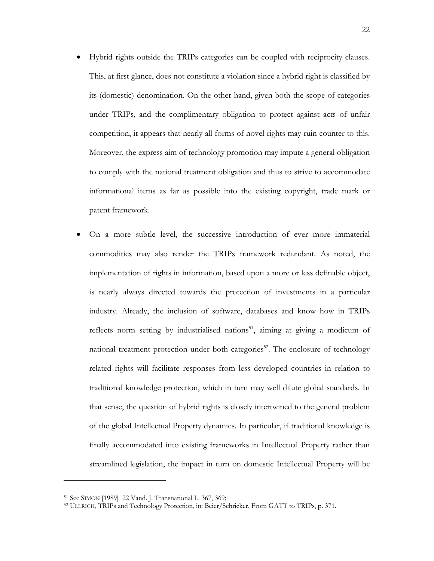- Hybrid rights outside the TRIPs categories can be coupled with reciprocity clauses. This, at first glance, does not constitute a violation since a hybrid right is classified by its (domestic) denomination. On the other hand, given both the scope of categories under TRIPs, and the complimentary obligation to protect against acts of unfair competition, it appears that nearly all forms of novel rights may ruin counter to this. Moreover, the express aim of technology promotion may impute a general obligation to comply with the national treatment obligation and thus to strive to accommodate informational items as far as possible into the existing copyright, trade mark or patent framework.
- On a more subtle level, the successive introduction of ever more immaterial commodities may also render the TRIPs framework redundant. As noted, the implementation of rights in information, based upon a more or less definable object, is nearly always directed towards the protection of investments in a particular industry. Already, the inclusion of software, databases and know how in TRIPs reflects norm setting by industrialised nations<sup>51</sup>, aiming at giving a modicum of national treatment protection under both categories<sup>52</sup>. The enclosure of technology related rights will facilitate responses from less developed countries in relation to traditional knowledge protection, which in turn may well dilute global standards. In that sense, the question of hybrid rights is closely intertwined to the general problem of the global Intellectual Property dynamics. In particular, if traditional knowledge is finally accommodated into existing frameworks in Intellectual Property rather than streamlined legislation, the impact in turn on domestic Intellectual Property will be

<span id="page-21-1"></span>

<span id="page-21-0"></span><sup>&</sup>lt;sup>51</sup> See SIMON [1989] 22 Vand. J. Transnational L. 367, 369;<br><sup>52</sup> ULLRICH, TRIPs and Technology Protection, in: Beier/Schricker, From GATT to TRIPs, p. 371.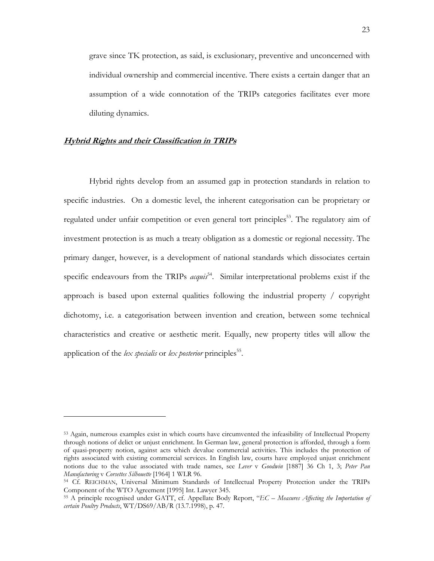grave since TK protection, as said, is exclusionary, preventive and unconcerned with individual ownership and commercial incentive. There exists a certain danger that an assumption of a wide connotation of the TRIPs categories facilitates ever more diluting dynamics.

# **Hybrid Rights and their Classification in TRIPs**

-

Hybrid rights develop from an assumed gap in protection standards in relation to specific industries. On a domestic level, the inherent categorisation can be proprietary or regulated under unfair competition or even general tort principles<sup>53</sup>. The regulatory aim of investment protection is as much a treaty obligation as a domestic or regional necessity. The primary danger, however, is a development of national standards which dissociates certain specific endeavours from the TRIPs *acquis*<sup>54</sup>. Similar interpretational problems exist if the approach is based upon external qualities following the industrial property / copyright dichotomy, i.e. a categorisation between invention and creation, between some technical characteristics and creative or aesthetic merit. Equally, new property titles will allow the application of the *lex specialis* or *lex posterior* principles<sup>55</sup>.

<span id="page-22-0"></span><sup>53</sup> Again, numerous examples exist in which courts have circumvented the infeasibility of Intellectual Property through notions of delict or unjust enrichment. In German law, general protection is afforded, through a form of quasi-property notion, against acts which devalue commercial activities. This includes the protection of rights associated with existing commercial services. In English law, courts have employed unjust enrichment notions due to the value associated with trade names, see *Lever* v *Goodwin* [1887] 36 Ch 1, 3; *Peter Pan*

<span id="page-22-1"></span>*Manufacturing* v *Corsettes Silhouette* [1964] 1 WLR 96.<br><sup>54</sup> Cf. REICHMAN, Universal Minimum Standards of Intellectual Property Protection under the TRIPs<br>Component of the WTO Agreement [1995] Int. Lawyer 345.

<span id="page-22-2"></span><sup>&</sup>lt;sup>55</sup> A principle recognised under GATT, cf. Appellate Body Report, "*EC – Measures Affecting the Importation of certain Poultry Products*, WT/DS69/AB/R (13.7.1998), p. 47.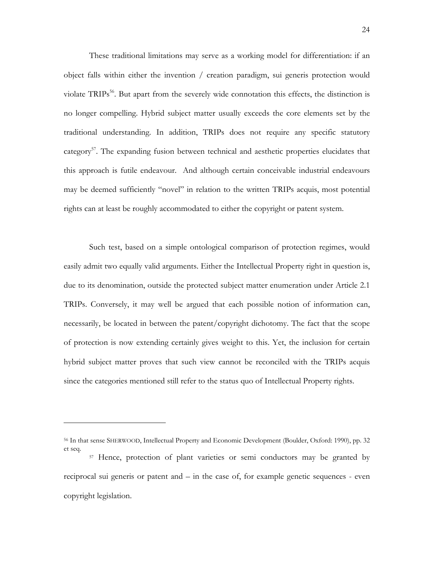These traditional limitations may serve as a working model for differentiation: if an object falls within either the invention / creation paradigm, sui generis protection would violate TRIPs<sup>56</sup>. But apart from the severely wide connotation this effects, the distinction is no longer compelling. Hybrid subject matter usually exceeds the core elements set by the traditional understanding. In addition, TRIPs does not require any specific statutory category<sup>57</sup>. The expanding fusion between technical and aesthetic properties elucidates that this approach is futile endeavour. And although certain conceivable industrial endeavours may be deemed sufficiently "novel" in relation to the written TRIPs acquis, most potential rights can at least be roughly accommodated to either the copyright or patent system.

Such test, based on a simple ontological comparison of protection regimes, would easily admit two equally valid arguments. Either the Intellectual Property right in question is, due to its denomination, outside the protected subject matter enumeration under Article 2.1 TRIPs. Conversely, it may well be argued that each possible notion of information can, necessarily, be located in between the patent/copyright dichotomy. The fact that the scope of protection is now extending certainly gives weight to this. Yet, the inclusion for certain hybrid subject matter proves that such view cannot be reconciled with the TRIPs acquis since the categories mentioned still refer to the status quo of Intellectual Property rights.

<span id="page-23-0"></span><sup>56</sup> In that sense SHERWOOD, Intellectual Property and Economic Development (Boulder, Oxford: 1990), pp. 32 et seq.

<span id="page-23-1"></span><sup>57</sup> Hence, protection of plant varieties or semi conductors may be granted by reciprocal sui generis or patent and – in the case of, for example genetic sequences - even copyright legislation.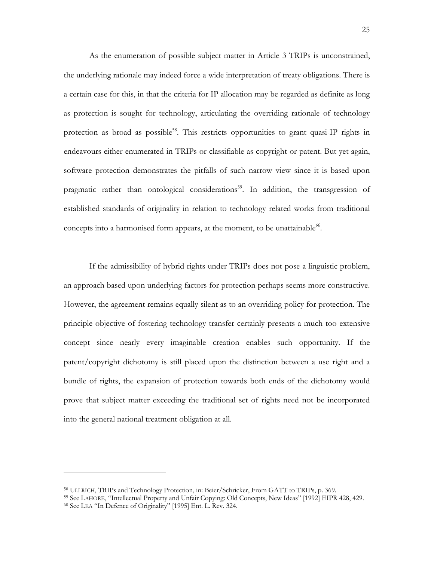As the enumeration of possible subject matter in Article 3 TRIPs is unconstrained, the underlying rationale may indeed force a wide interpretation of treaty obligations. There is a certain case for this, in that the criteria for IP allocation may be regarded as definite as long as protection is sought for technology, articulating the overriding rationale of technology protection as broad as possible<sup>58</sup>. This restricts opportunities to grant quasi-IP rights in endeavours either enumerated in TRIPs or classifiable as copyright or patent. But yet again, software protection demonstrates the pitfalls of such narrow view since it is based upon pragmatic rather than ontological considerations<sup>59</sup>. In addition, the transgression of established standards of originality in relation to technology related works from traditional concepts into a harmonised form appears, at the moment, to be unattainable*[60.](#page-24-2)* 

If the admissibility of hybrid rights under TRIPs does not pose a linguistic problem, an approach based upon underlying factors for protection perhaps seems more constructive. However, the agreement remains equally silent as to an overriding policy for protection. The principle objective of fostering technology transfer certainly presents a much too extensive concept since nearly every imaginable creation enables such opportunity. If the patent/copyright dichotomy is still placed upon the distinction between a use right and a bundle of rights, the expansion of protection towards both ends of the dichotomy would prove that subject matter exceeding the traditional set of rights need not be incorporated into the general national treatment obligation at all.

<span id="page-24-2"></span><span id="page-24-1"></span><span id="page-24-0"></span>

<sup>&</sup>lt;sup>58</sup> ULLRICH, TRIPs and Technology Protection, in: Beier/Schricker, From GATT to TRIPs, p. 369.<br><sup>59</sup> See LAHORE, "Intellectual Property and Unfair Copying: Old Concepts, New Ideas" [1992] EIPR 428, 429.<br><sup>60</sup> See LEA "In De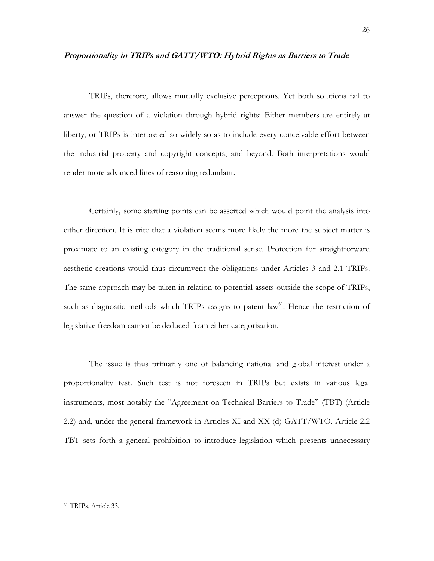#### **Proportionality in TRIPs and GATT/WTO: Hybrid Rights as Barriers to Trade**

TRIPs, therefore, allows mutually exclusive perceptions. Yet both solutions fail to answer the question of a violation through hybrid rights: Either members are entirely at liberty, or TRIPs is interpreted so widely so as to include every conceivable effort between the industrial property and copyright concepts, and beyond. Both interpretations would render more advanced lines of reasoning redundant.

Certainly, some starting points can be asserted which would point the analysis into either direction. It is trite that a violation seems more likely the more the subject matter is proximate to an existing category in the traditional sense. Protection for straightforward aesthetic creations would thus circumvent the obligations under Articles 3 and 2.1 TRIPs. The same approach may be taken in relation to potential assets outside the scope of TRIPs, such as diagnostic methods which TRIPs assigns to patent  $law<sup>61</sup>$ . Hence the restriction of legislative freedom cannot be deduced from either categorisation.

The issue is thus primarily one of balancing national and global interest under a proportionality test. Such test is not foreseen in TRIPs but exists in various legal instruments, most notably the "Agreement on Technical Barriers to Trade" (TBT) (Article 2.2) and, under the general framework in Articles XI and XX (d) GATT/WTO. Article 2.2 TBT sets forth a general prohibition to introduce legislation which presents unnecessary

<span id="page-25-0"></span><sup>61</sup> TRIPs, Article 33.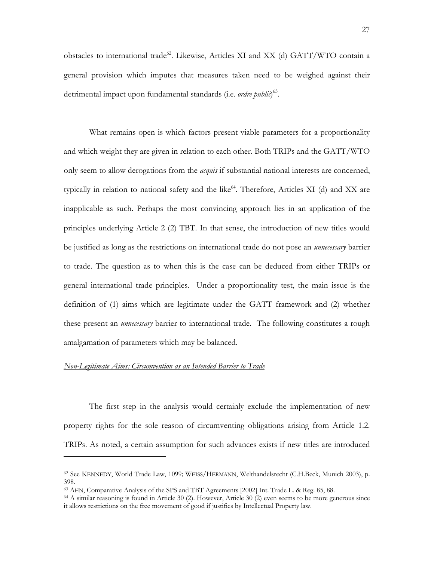obstacles to international trade<sup>62</sup>. Likewise, Articles XI and XX (d) GATT/WTO contain a general provision which imputes that measures taken need to be weighed against their detrimental impact upon fundamental standards (i.e. *ordre public*) [63.](#page-26-1)

What remains open is which factors present viable parameters for a proportionality and which weight they are given in relation to each other. Both TRIPs and the GATT/WTO only seem to allow derogations from the *acquis* if substantial national interests are concerned, typically in relation to national safety and the like $^{64}$ . Therefore, Articles XI (d) and XX are inapplicable as such. Perhaps the most convincing approach lies in an application of the principles underlying Article 2 (2) TBT. In that sense, the introduction of new titles would be justified as long as the restrictions on international trade do not pose an *unnecessary* barrier to trade. The question as to when this is the case can be deduced from either TRIPs or general international trade principles. Under a proportionality test, the main issue is the definition of (1) aims which are legitimate under the GATT framework and (2) whether these present an *unnecessary* barrier to international trade. The following constitutes a rough amalgamation of parameters which may be balanced.

### *Non-Legitimate Aims: Circumvention as an Intended Barrier to Trade*

-

The first step in the analysis would certainly exclude the implementation of new property rights for the sole reason of circumventing obligations arising from Article 1.2. TRIPs. As noted, a certain assumption for such advances exists if new titles are introduced

<span id="page-26-0"></span><sup>62</sup> See KENNEDY, World Trade Law, 1099; WEISS/HERMANN, Welthandelsrecht (C.H.Beck, Munich 2003), p. 398.<br><sup>63</sup> AHN, Comparative Analysis of the SPS and TBT Agreements [2002] Int. Trade L. & Reg. 85, 88.

<span id="page-26-1"></span>

<span id="page-26-2"></span> $64$  A similar reasoning is found in Article 30 (2). However, Article 30 (2) even seems to be more generous since it allows restrictions on the free movement of good if justifies by Intellectual Property law.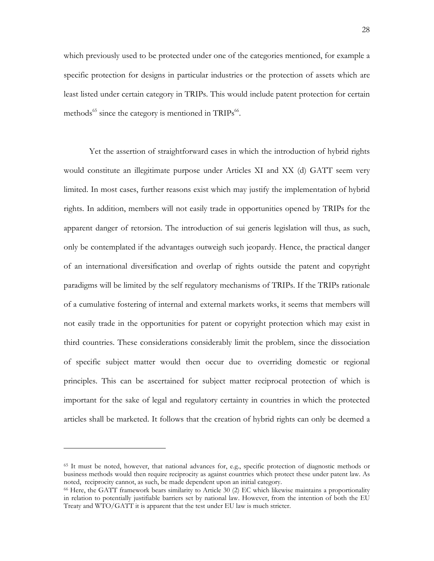which previously used to be protected under one of the categories mentioned, for example a specific protection for designs in particular industries or the protection of assets which are least listed under certain category in TRIPs. This would include patent protection for certain methods<sup> $65$ </sup> since the category is mentioned in TRIPs $^{66}$ .

Yet the assertion of straightforward cases in which the introduction of hybrid rights would constitute an illegitimate purpose under Articles XI and XX (d) GATT seem very limited. In most cases, further reasons exist which may justify the implementation of hybrid rights. In addition, members will not easily trade in opportunities opened by TRIPs for the apparent danger of retorsion. The introduction of sui generis legislation will thus, as such, only be contemplated if the advantages outweigh such jeopardy. Hence, the practical danger of an international diversification and overlap of rights outside the patent and copyright paradigms will be limited by the self regulatory mechanisms of TRIPs. If the TRIPs rationale of a cumulative fostering of internal and external markets works, it seems that members will not easily trade in the opportunities for patent or copyright protection which may exist in third countries. These considerations considerably limit the problem, since the dissociation of specific subject matter would then occur due to overriding domestic or regional principles. This can be ascertained for subject matter reciprocal protection of which is important for the sake of legal and regulatory certainty in countries in which the protected articles shall be marketed. It follows that the creation of hybrid rights can only be deemed a

<span id="page-27-0"></span><sup>65</sup> It must be noted, however, that national advances for, e.g., specific protection of diagnostic methods or business methods would then require reciprocity as against countries which protect these under patent law. As noted, reciprocity cannot, as such, be made dependent upon an initial category.<br><sup>66</sup> Here, the GATT framework bears similarity to Article 30 (2) EC which likewise maintains a proportionality

<span id="page-27-1"></span>in relation to potentially justifiable barriers set by national law. However, from the intention of both the EU Treaty and WTO/GATT it is apparent that the test under EU law is much stricter.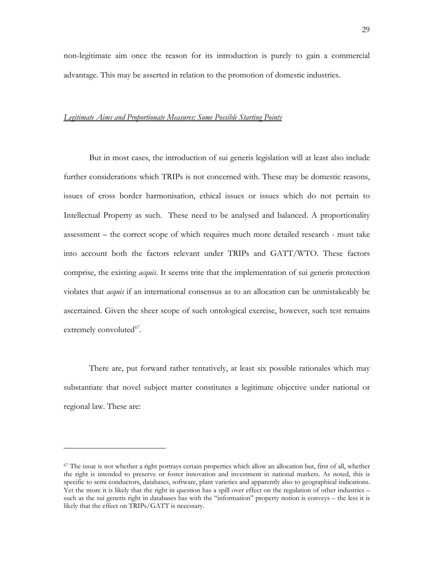non-legitimate aim once the reason for its introduction is purely to gain a commercial advantage. This may be asserted in relation to the promotion of domestic industries.

# *Legitimate Aims and Proportionate Measures: Some Possible Starting Points*

But in most cases, the introduction of sui generis legislation will at least also include further considerations which TRIPs is not concerned with. These may be domestic reasons, issues of cross border harmonisation, ethical issues or issues which do not pertain to Intellectual Property as such. These need to be analysed and balanced. A proportionality assessment – the correct scope of which requires much more detailed research - must take into account both the factors relevant under TRIPs and GATT/WTO. These factors comprise, the existing *acquis*. It seems trite that the implementation of sui generis protection violates that *acquis* if an international consensus as to an allocation can be unmistakeably be ascertained. Given the sheer scope of such ontological exercise, however, such test remains extremely convoluted $67$ .

There are, put forward rather tentatively, at least six possible rationales which may substantiate that novel subject matter constitutes a legitimate objective under national or regional law. These are:

<span id="page-28-0"></span> $67$  The issue is not whether a right portrays certain properties which allow an allocation but, first of all, whether the right is intended to preserve or foster innovation and investment in national markets. As noted, this is specific to semi conductors, databases, software, plant varieties and apparently also to geographical indications. Yet the more it is likely that the right in question has a spill over effect on the regulation of other industries – such as the sui generis right in databases has with the "information" property notion is conveys – the less it is likely that the effect on TRIPs/GATT is necessary.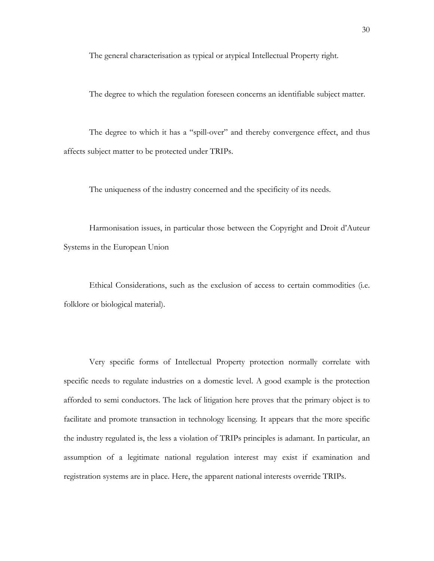The general characterisation as typical or atypical Intellectual Property right.

The degree to which the regulation foreseen concerns an identifiable subject matter.

The degree to which it has a "spill-over" and thereby convergence effect, and thus affects subject matter to be protected under TRIPs.

The uniqueness of the industry concerned and the specificity of its needs.

Harmonisation issues, in particular those between the Copyright and Droit d'Auteur Systems in the European Union

Ethical Considerations, such as the exclusion of access to certain commodities (i.e. folklore or biological material).

Very specific forms of Intellectual Property protection normally correlate with specific needs to regulate industries on a domestic level. A good example is the protection afforded to semi conductors. The lack of litigation here proves that the primary object is to facilitate and promote transaction in technology licensing. It appears that the more specific the industry regulated is, the less a violation of TRIPs principles is adamant. In particular, an assumption of a legitimate national regulation interest may exist if examination and registration systems are in place. Here, the apparent national interests override TRIPs.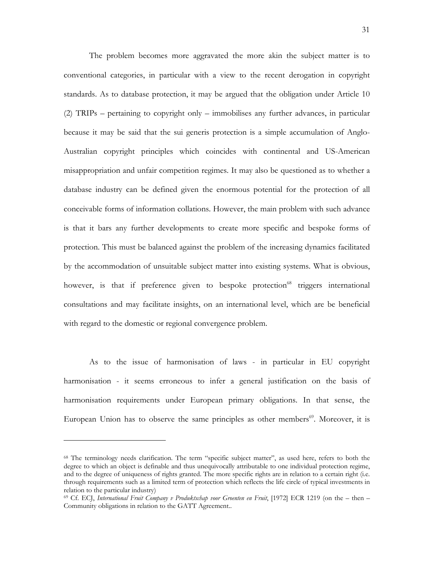The problem becomes more aggravated the more akin the subject matter is to conventional categories, in particular with a view to the recent derogation in copyright standards. As to database protection, it may be argued that the obligation under Article 10 (2) TRIPs – pertaining to copyright only – immobilises any further advances, in particular because it may be said that the sui generis protection is a simple accumulation of Anglo-Australian copyright principles which coincides with continental and US-American misappropriation and unfair competition regimes. It may also be questioned as to whether a database industry can be defined given the enormous potential for the protection of all conceivable forms of information collations. However, the main problem with such advance is that it bars any further developments to create more specific and bespoke forms of protection. This must be balanced against the problem of the increasing dynamics facilitated by the accommodation of unsuitable subject matter into existing systems. What is obvious, however, is that if preference given to bespoke protection<sup>68</sup> triggers international consultations and may facilitate insights, on an international level, which are be beneficial with regard to the domestic or regional convergence problem.

As to the issue of harmonisation of laws - in particular in EU copyright harmonisation - it seems erroneous to infer a general justification on the basis of harmonisation requirements under European primary obligations. In that sense, the European Union has to observe the same principles as other members<sup>69</sup>. Moreover, it is

<span id="page-30-0"></span><sup>&</sup>lt;sup>68</sup> The terminology needs clarification. The term "specific subject matter", as used here, refers to both the degree to which an object is definable and thus unequivocally attributable to one individual protection regime, and to the degree of uniqueness of rights granted. The more specific rights are in relation to a certain right (i.e. through requirements such as a limited term of protection which reflects the life circle of typical investments in relation to the particular industry)<br><sup>69</sup> Cf. ECJ, *International Fruit Company v Produktschap voor Groenten en Fruit*, [1972] ECR 1219 (on the – then –

<span id="page-30-1"></span>Community obligations in relation to the GATT Agreement..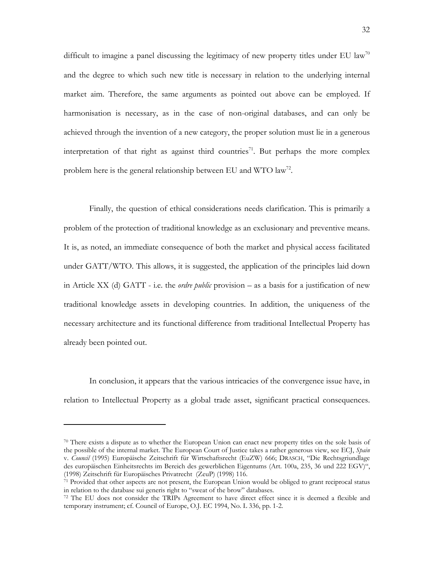difficult to imagine a panel discussing the legitimacy of new property titles under EU law<sup>[70](#page-31-0)</sup> and the degree to which such new title is necessary in relation to the underlying internal market aim. Therefore, the same arguments as pointed out above can be employed. If harmonisation is necessary, as in the case of non-original databases, and can only be achieved through the invention of a new category, the proper solution must lie in a generous interpretation of that right as against third countries<sup>71</sup>. But perhaps the more complex problem here is the general relationship between EU and WTO law<sup>72</sup>.

Finally, the question of ethical considerations needs clarification. This is primarily a problem of the protection of traditional knowledge as an exclusionary and preventive means. It is, as noted, an immediate consequence of both the market and physical access facilitated under GATT/WTO. This allows, it is suggested, the application of the principles laid down in Article XX (d) GATT - i.e. the *ordre public* provision – as a basis for a justification of new traditional knowledge assets in developing countries. In addition, the uniqueness of the necessary architecture and its functional difference from traditional Intellectual Property has already been pointed out.

In conclusion, it appears that the various intricacies of the convergence issue have, in relation to Intellectual Property as a global trade asset, significant practical consequences.

<span id="page-31-0"></span> $70$  There exists a dispute as to whether the European Union can enact new property titles on the sole basis of the possible of the internal market. The European Court of Justice takes a rather generous view, see ECJ, *Spain* v. *Council* (1995) Europäische Zeitschrift für Wirtschaftsrecht (EuZW) 666; DRASCH, "Die Rechtsgriundlage des europäischen Einheitsrechts im Bereich des gewerblichen Eigentums (Art. 100a, 235, 36 und 222 EGV)",

<span id="page-31-1"></span><sup>(1998)</sup> Zeitschrift für Europäisches Privatrecht (ZeuP) (1998) 116.<br><sup>71</sup> Provided that other aspects are not present, the European Union would be obliged to grant reciprocal status<br>in relation to the database sui generis r

<span id="page-31-2"></span> $172$  The EU does not consider the TRIPs Agreement to have direct effect since it is deemed a flexible and temporary instrument; cf. Council of Europe, O.J. EC 1994, No. L 336, pp. 1-2.